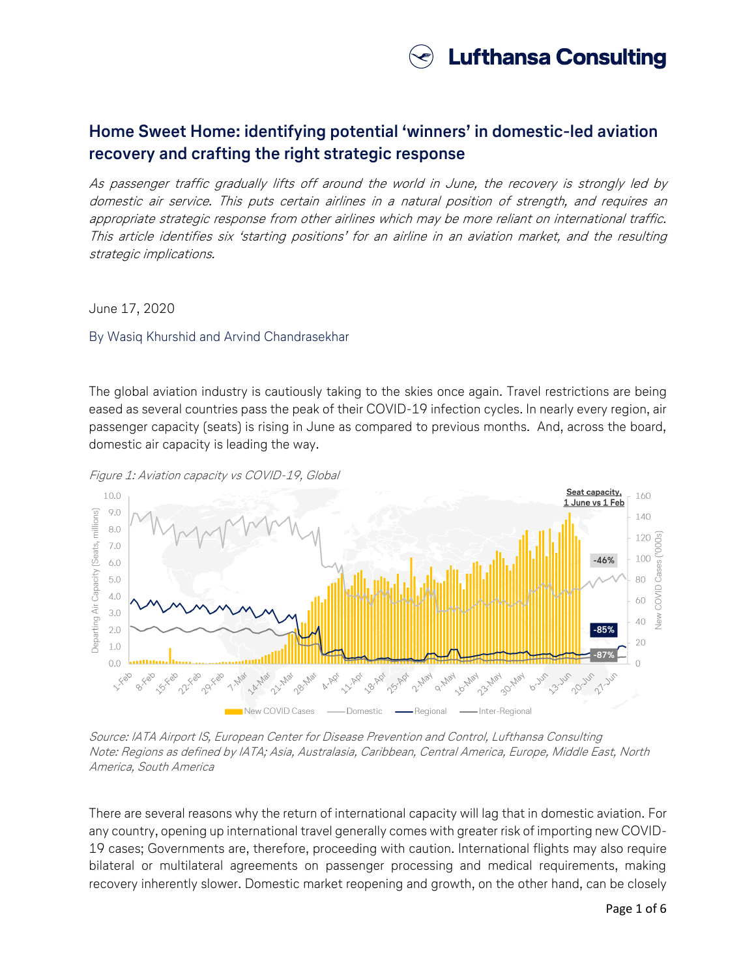

# **Home Sweet Home: identifying potential 'winners' in domestic-led aviation recovery and crafting the right strategic response**

As passenger traffic gradually lifts off around the world in June, the recovery is strongly led by domestic air service. This puts certain airlines in a natural position of strength, and requires an appropriate strategic response from other airlines which may be more reliant on international traffic. This article identifies six 'starting positions' for an airline in an aviation market, and the resulting strategic implications.

June 17, 2020

### By Wasiq Khurshid and Arvind Chandrasekhar

The global aviation industry is cautiously taking to the skies once again. Travel restrictions are being eased as several countries pass the peak of their COVID-19 infection cycles. In nearly every region, air passenger capacity (seats) is rising in June as compared to previous months. And, across the board, domestic air capacity is leading the way.



Figure 1: Aviation capacity vs COVID-19, Global

Source: IATA Airport IS, European Center for Disease Prevention and Control, Lufthansa Consulting Note: Regions as defined by IATA; Asia, Australasia, Caribbean, Central America, Europe, Middle East, North America, South America

There are several reasons why the return of international capacity will lag that in domestic aviation. For any country, opening up international travel generally comes with greater risk of importing new COVID-19 cases; Governments are, therefore, proceeding with caution. International flights may also require bilateral or multilateral agreements on passenger processing and medical requirements, making recovery inherently slower. Domestic market reopening and growth, on the other hand, can be closely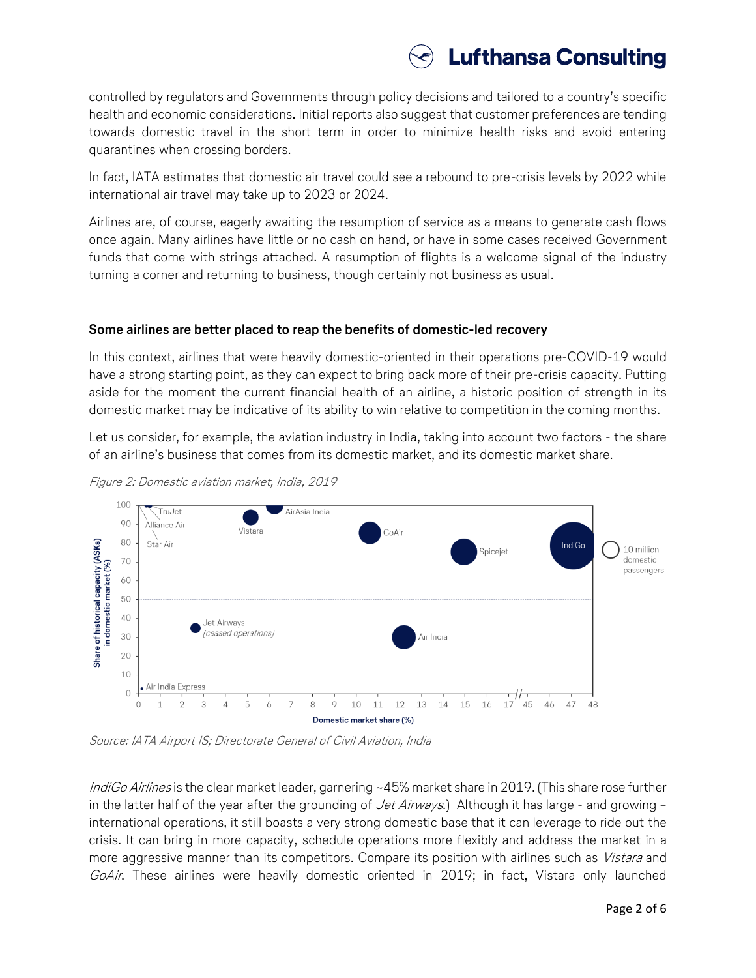# **Lufthansa Consulting**

controlled by regulators and Governments through policy decisions and tailored to a country's specific health and economic considerations. Initial reports also suggest that customer preferences are tending towards domestic travel in the short term in order to minimize health risks and avoid entering quarantines when crossing borders.

In fact, IATA estimates that domestic air travel could see a rebound to pre-crisis levels by 2022 while international air travel may take up to 2023 or 2024.

Airlines are, of course, eagerly awaiting the resumption of service as a means to generate cash flows once again. Many airlines have little or no cash on hand, or have in some cases received Government funds that come with strings attached. A resumption of flights is a welcome signal of the industry turning a corner and returning to business, though certainly not business as usual.

## **Some airlines are better placed to reap the benefits of domestic-led recovery**

In this context, airlines that were heavily domestic-oriented in their operations pre-COVID-19 would have a strong starting point, as they can expect to bring back more of their pre-crisis capacity. Putting aside for the moment the current financial health of an airline, a historic position of strength in its domestic market may be indicative of its ability to win relative to competition in the coming months.

Let us consider, for example, the aviation industry in India, taking into account two factors - the share of an airline's business that comes from its domestic market, and its domestic market share.





Source: IATA Airport IS; Directorate General of Civil Aviation, India

IndiGo Airlines is the clear market leader, garnering ~45% market share in 2019. (This share rose further in the latter half of the year after the grounding of Jet Airways.) Although it has large - and growing international operations, it still boasts a very strong domestic base that it can leverage to ride out the crisis. It can bring in more capacity, schedule operations more flexibly and address the market in a more aggressive manner than its competitors. Compare its position with airlines such as *Vistara* and GoAir. These airlines were heavily domestic oriented in 2019; in fact, Vistara only launched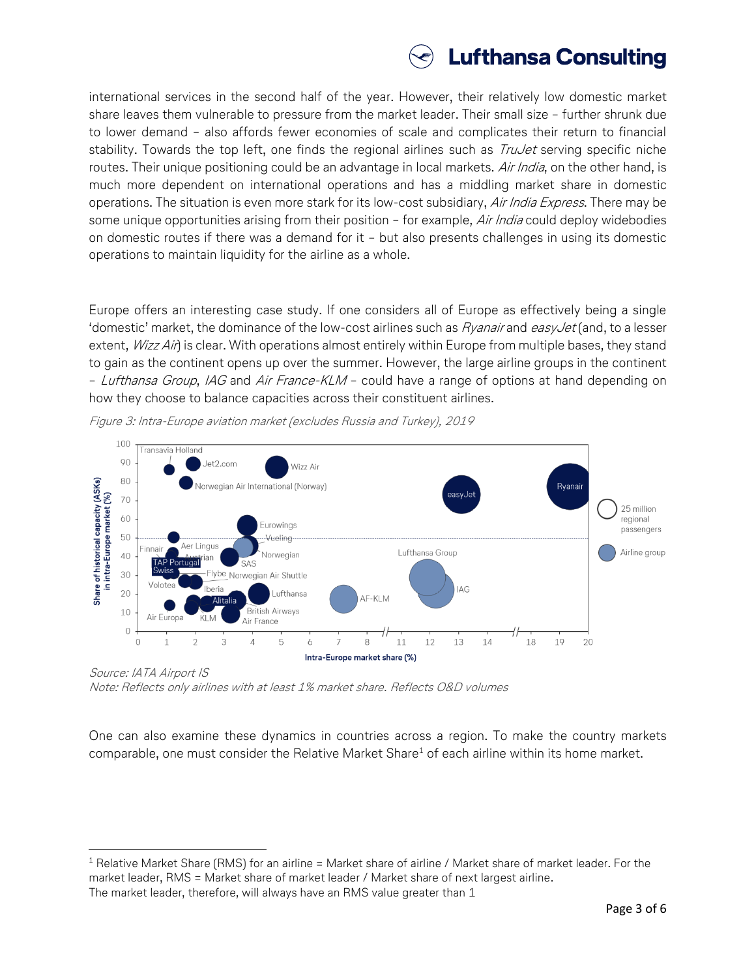

international services in the second half of the year. However, their relatively low domestic market share leaves them vulnerable to pressure from the market leader. Their small size – further shrunk due to lower demand – also affords fewer economies of scale and complicates their return to financial stability. Towards the top left, one finds the regional airlines such as *TruJet* serving specific niche routes. Their unique positioning could be an advantage in local markets. Air India, on the other hand, is much more dependent on international operations and has a middling market share in domestic operations. The situation is even more stark for its low-cost subsidiary, Air India Express. There may be some unique opportunities arising from their position – for example, Air India could deploy widebodies on domestic routes if there was a demand for it – but also presents challenges in using its domestic operations to maintain liquidity for the airline as a whole.

Europe offers an interesting case study. If one considers all of Europe as effectively being a single 'domestic' market, the dominance of the low-cost airlines such as  $Ry$ *anair* and easyJet (and, to a lesser extent, *Wizz Air*) is clear. With operations almost entirely within Europe from multiple bases, they stand to gain as the continent opens up over the summer. However, the large airline groups in the continent – Lufthansa Group, IAG and Air France-KLM – could have a range of options at hand depending on how they choose to balance capacities across their constituent airlines.



Figure 3: Intra-Europe aviation market (excludes Russia and Turkey), 2019

Source: IATA Airport IS Note: Reflects only airlines with at least 1% market share. Reflects O&D volumes

 $\overline{\phantom{a}}$ 

One can also examine these dynamics in countries across a region. To make the country markets comparable, one must consider the Relative Market Share<sup>1</sup> of each airline within its home market.

 $1$  Relative Market Share (RMS) for an airline = Market share of airline / Market share of market leader. For the market leader, RMS = Market share of market leader / Market share of next largest airline. The market leader, therefore, will always have an RMS value greater than 1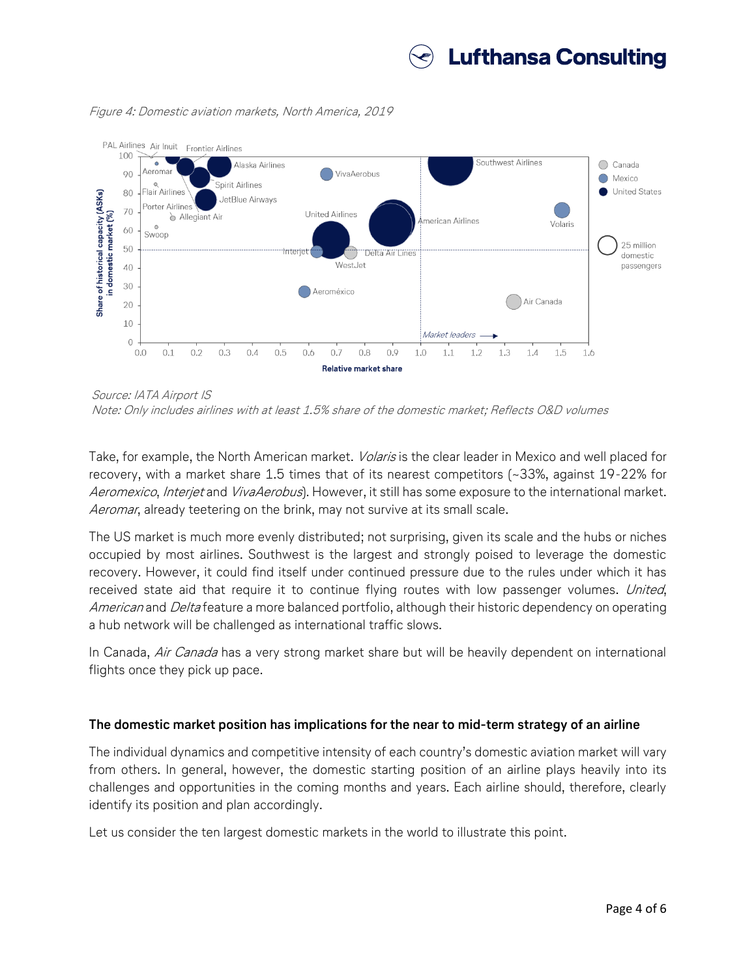

Figure 4: Domestic aviation markets, North America, 2019



Source: IATA Airport IS

Take, for example, the North American market. *Volaris* is the clear leader in Mexico and well placed for recovery, with a market share 1.5 times that of its nearest competitors (~33%, against 19-22% for Aeromexico, Interjet and *VivaAerobus*). However, it still has some exposure to the international market. Aeromar, already teetering on the brink, may not survive at its small scale.

The US market is much more evenly distributed; not surprising, given its scale and the hubs or niches occupied by most airlines. Southwest is the largest and strongly poised to leverage the domestic recovery. However, it could find itself under continued pressure due to the rules under which it has received state aid that require it to continue flying routes with low passenger volumes. United, American and Delta feature a more balanced portfolio, although their historic dependency on operating a hub network will be challenged as international traffic slows.

In Canada, Air Canada has a very strong market share but will be heavily dependent on international flights once they pick up pace.

### **The domestic market position has implications for the near to mid-term strategy of an airline**

The individual dynamics and competitive intensity of each country's domestic aviation market will vary from others. In general, however, the domestic starting position of an airline plays heavily into its challenges and opportunities in the coming months and years. Each airline should, therefore, clearly identify its position and plan accordingly.

Let us consider the ten largest domestic markets in the world to illustrate this point.

Note: Only includes airlines with at least 1.5% share of the domestic market; Reflects O&D volumes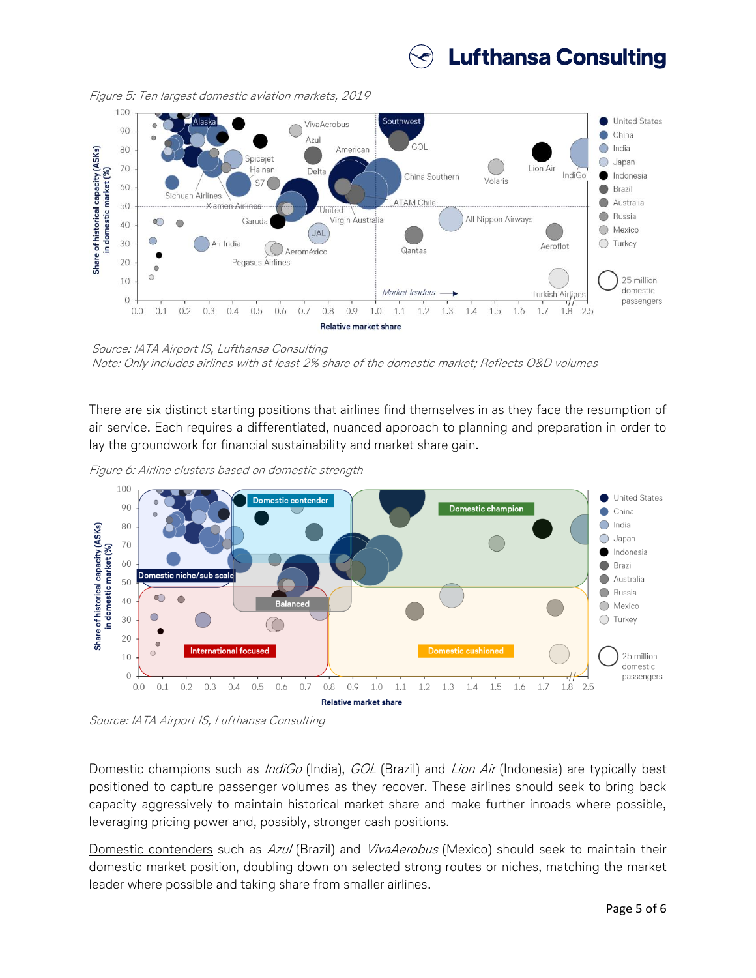



Figure 5: Ten largest domestic aviation markets, 2019

Source: IATA Airport IS, Lufthansa Consulting Note: Only includes airlines with at least 2% share of the domestic market; Reflects O&D volumes

There are six distinct starting positions that airlines find themselves in as they face the resumption of air service. Each requires a differentiated, nuanced approach to planning and preparation in order to lay the groundwork for financial sustainability and market share gain.

Figure 6: Airline clusters based on domestic strength



Source: IATA Airport IS, Lufthansa Consulting

Domestic champions such as *IndiGo* (India), GOL (Brazil) and *Lion Air* (Indonesia) are typically best positioned to capture passenger volumes as they recover. These airlines should seek to bring back capacity aggressively to maintain historical market share and make further inroads where possible, leveraging pricing power and, possibly, stronger cash positions.

Domestic contenders such as Azul (Brazil) and VivaAerobus (Mexico) should seek to maintain their domestic market position, doubling down on selected strong routes or niches, matching the market leader where possible and taking share from smaller airlines.